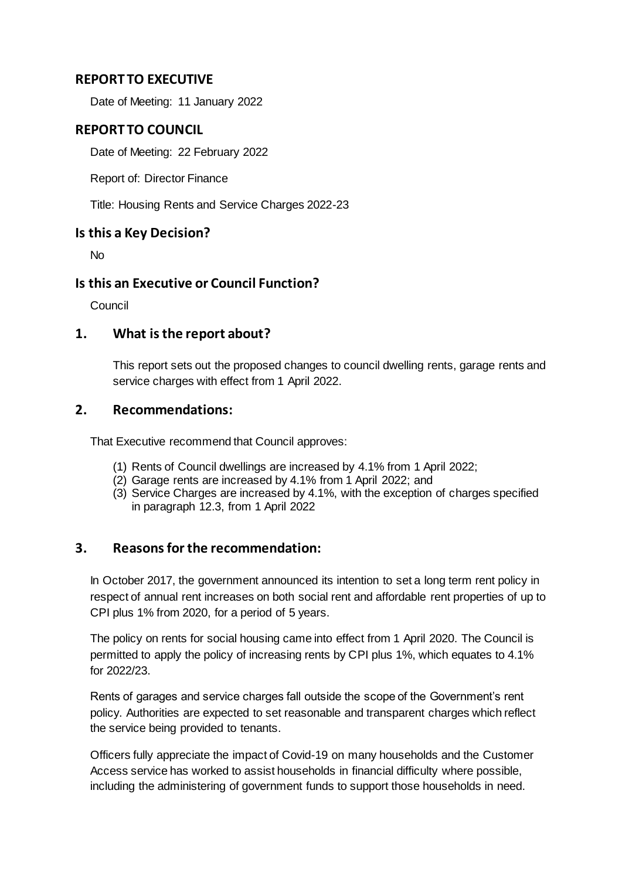## **REPORT TO EXECUTIVE**

Date of Meeting: 11 January 2022

## **REPORT TO COUNCIL**

Date of Meeting: 22 February 2022

Report of: Director Finance

Title: Housing Rents and Service Charges 2022-23

#### **Is this a Key Decision?**

No

### **Is this an Executive or Council Function?**

Council

### **1. What is the report about?**

This report sets out the proposed changes to council dwelling rents, garage rents and service charges with effect from 1 April 2022.

### **2. Recommendations:**

That Executive recommend that Council approves:

- (1) Rents of Council dwellings are increased by 4.1% from 1 April 2022;
- (2) Garage rents are increased by 4.1% from 1 April 2022; and
- (3) Service Charges are increased by 4.1%, with the exception of charges specified in paragraph 12.3, from 1 April 2022

## **3. Reasons for the recommendation:**

In October 2017, the government announced its intention to set a long term rent policy in respect of annual rent increases on both social rent and affordable rent properties of up to CPI plus 1% from 2020, for a period of 5 years.

The policy on rents for social housing came into effect from 1 April 2020. The Council is permitted to apply the policy of increasing rents by CPI plus 1%, which equates to 4.1% for 2022/23.

Rents of garages and service charges fall outside the scope of the Government's rent policy. Authorities are expected to set reasonable and transparent charges which reflect the service being provided to tenants.

Officers fully appreciate the impact of Covid-19 on many households and the Customer Access service has worked to assist households in financial difficulty where possible, including the administering of government funds to support those households in need.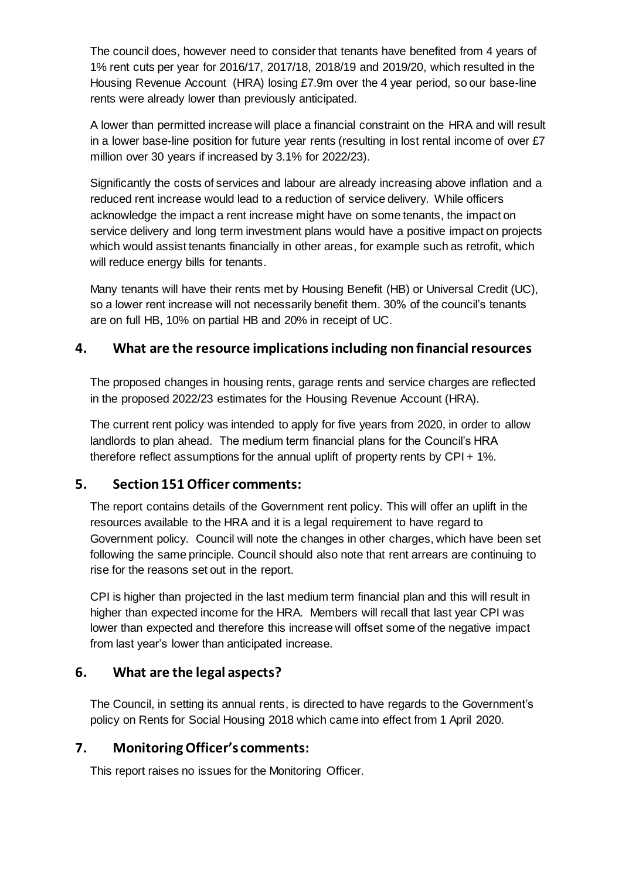The council does, however need to consider that tenants have benefited from 4 years of 1% rent cuts per year for 2016/17, 2017/18, 2018/19 and 2019/20, which resulted in the Housing Revenue Account (HRA) losing £7.9m over the 4 year period, so our base-line rents were already lower than previously anticipated.

A lower than permitted increase will place a financial constraint on the HRA and will result in a lower base-line position for future year rents (resulting in lost rental income of over £7 million over 30 years if increased by 3.1% for 2022/23).

Significantly the costs of services and labour are already increasing above inflation and a reduced rent increase would lead to a reduction of service delivery. While officers acknowledge the impact a rent increase might have on some tenants, the impact on service delivery and long term investment plans would have a positive impact on projects which would assist tenants financially in other areas, for example such as retrofit, which will reduce energy bills for tenants.

Many tenants will have their rents met by Housing Benefit (HB) or Universal Credit (UC), so a lower rent increase will not necessarily benefit them. 30% of the council's tenants are on full HB, 10% on partial HB and 20% in receipt of UC.

## **4. What are the resource implications including non financial resources**

The proposed changes in housing rents, garage rents and service charges are reflected in the proposed 2022/23 estimates for the Housing Revenue Account (HRA).

The current rent policy was intended to apply for five years from 2020, in order to allow landlords to plan ahead. The medium term financial plans for the Council's HRA therefore reflect assumptions for the annual uplift of property rents by CPI + 1%.

## **5. Section 151 Officer comments:**

The report contains details of the Government rent policy. This will offer an uplift in the resources available to the HRA and it is a legal requirement to have regard to Government policy. Council will note the changes in other charges, which have been set following the same principle. Council should also note that rent arrears are continuing to rise for the reasons set out in the report.

CPI is higher than projected in the last medium term financial plan and this will result in higher than expected income for the HRA. Members will recall that last year CPI was lower than expected and therefore this increase will offset some of the negative impact from last year's lower than anticipated increase.

## **6. What are the legal aspects?**

The Council, in setting its annual rents, is directed to have regards to the Government's policy on Rents for Social Housing 2018 which came into effect from 1 April 2020.

# **7. Monitoring Officer's comments:**

This report raises no issues for the Monitoring Officer.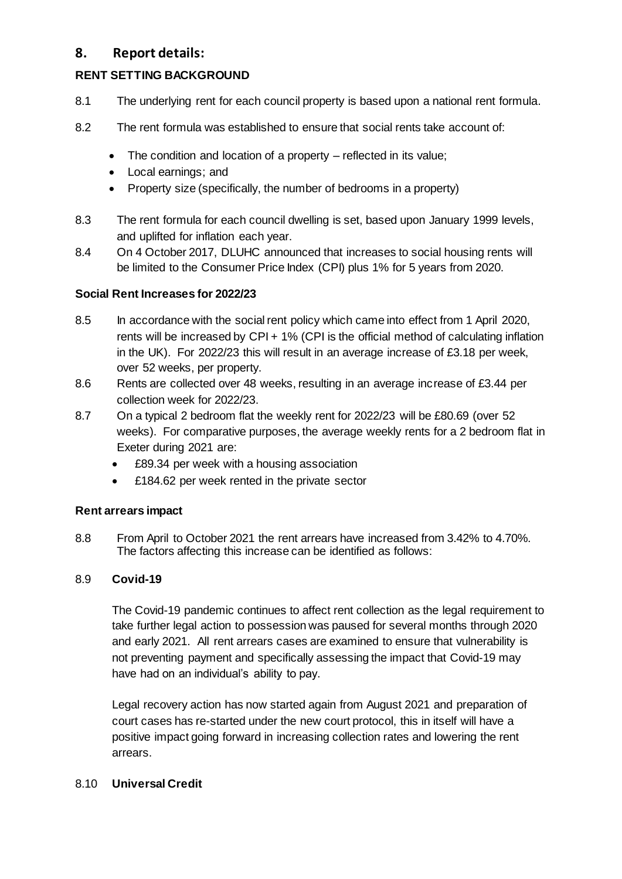## **8. Report details:**

### **RENT SETTING BACKGROUND**

- 8.1 The underlying rent for each council property is based upon a national rent formula.
- 8.2 The rent formula was established to ensure that social rents take account of:
	- The condition and location of a property reflected in its value;
	- Local earnings; and
	- Property size (specifically, the number of bedrooms in a property)
- 8.3 The rent formula for each council dwelling is set, based upon January 1999 levels, and uplifted for inflation each year.
- 8.4 On 4 October 2017, DLUHC announced that increases to social housing rents will be limited to the Consumer Price Index (CPI) plus 1% for 5 years from 2020.

### **Social Rent Increases for 2022/23**

- 8.5 In accordance with the social rent policy which came into effect from 1 April 2020, rents will be increased by CPI + 1% (CPI is the official method of calculating inflation in the UK). For 2022/23 this will result in an average increase of £3.18 per week, over 52 weeks, per property.
- 8.6 Rents are collected over 48 weeks, resulting in an average increase of £3.44 per collection week for 2022/23.
- 8.7 On a typical 2 bedroom flat the weekly rent for 2022/23 will be £80.69 (over 52 weeks). For comparative purposes, the average weekly rents for a 2 bedroom flat in Exeter during 2021 are:
	- £89.34 per week with a housing association
	- £184.62 per week rented in the private sector

#### **Rent arrears impact**

8.8 From April to October 2021 the rent arrears have increased from 3.42% to 4.70%. The factors affecting this increase can be identified as follows:

#### 8.9 **Covid-19**

The Covid-19 pandemic continues to affect rent collection as the legal requirement to take further legal action to possession was paused for several months through 2020 and early 2021. All rent arrears cases are examined to ensure that vulnerability is not preventing payment and specifically assessing the impact that Covid-19 may have had on an individual's ability to pay.

Legal recovery action has now started again from August 2021 and preparation of court cases has re-started under the new court protocol, this in itself will have a positive impact going forward in increasing collection rates and lowering the rent arrears.

## 8.10 **Universal Credit**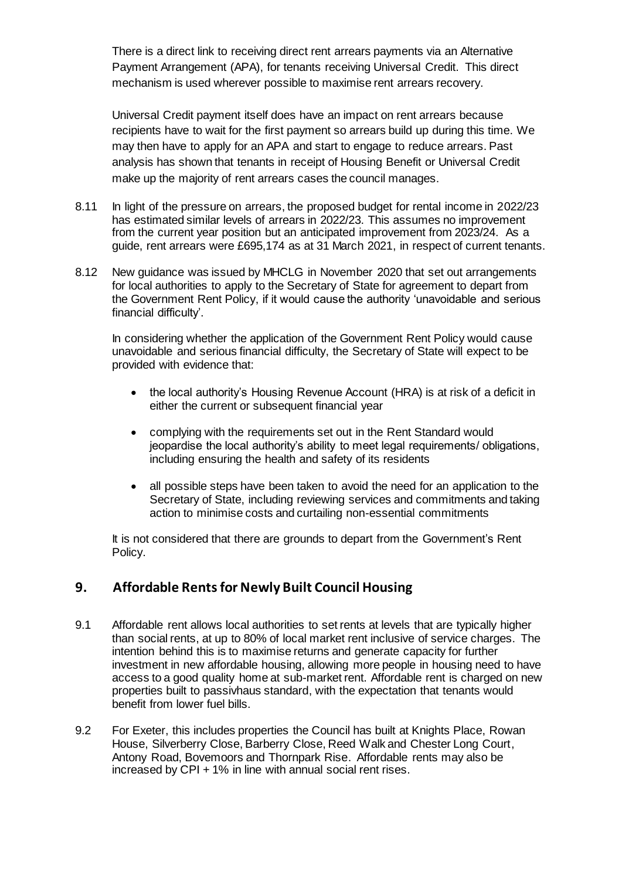There is a direct link to receiving direct rent arrears payments via an Alternative Payment Arrangement (APA), for tenants receiving Universal Credit. This direct mechanism is used wherever possible to maximise rent arrears recovery.

Universal Credit payment itself does have an impact on rent arrears because recipients have to wait for the first payment so arrears build up during this time. We may then have to apply for an APA and start to engage to reduce arrears. Past analysis has shown that tenants in receipt of Housing Benefit or Universal Credit make up the majority of rent arrears cases the council manages.

- 8.11 In light of the pressure on arrears, the proposed budget for rental income in 2022/23 has estimated similar levels of arrears in 2022/23. This assumes no improvement from the current year position but an anticipated improvement from 2023/24. As a guide, rent arrears were £695,174 as at 31 March 2021, in respect of current tenants.
- 8.12 New guidance was issued by MHCLG in November 2020 that set out arrangements for local authorities to apply to the Secretary of State for agreement to depart from the Government Rent Policy, if it would cause the authority 'unavoidable and serious financial difficulty'.

In considering whether the application of the Government Rent Policy would cause unavoidable and serious financial difficulty, the Secretary of State will expect to be provided with evidence that:

- the local authority's Housing Revenue Account (HRA) is at risk of a deficit in either the current or subsequent financial year
- complying with the requirements set out in the Rent Standard would jeopardise the local authority's ability to meet legal requirements/ obligations, including ensuring the health and safety of its residents
- all possible steps have been taken to avoid the need for an application to the Secretary of State, including reviewing services and commitments and taking action to minimise costs and curtailing non-essential commitments

It is not considered that there are grounds to depart from the Government's Rent Policy.

## **9. Affordable Rents for Newly Built Council Housing**

- 9.1 Affordable rent allows local authorities to set rents at levels that are typically higher than social rents, at up to 80% of local market rent inclusive of service charges. The intention behind this is to maximise returns and generate capacity for further investment in new affordable housing, allowing more people in housing need to have access to a good quality home at sub-market rent. Affordable rent is charged on new properties built to passivhaus standard, with the expectation that tenants would benefit from lower fuel bills.
- 9.2 For Exeter, this includes properties the Council has built at Knights Place, Rowan House, Silverberry Close, Barberry Close, Reed Walk and Chester Long Court, Antony Road, Bovemoors and Thornpark Rise. Affordable rents may also be increased by CPI + 1% in line with annual social rent rises.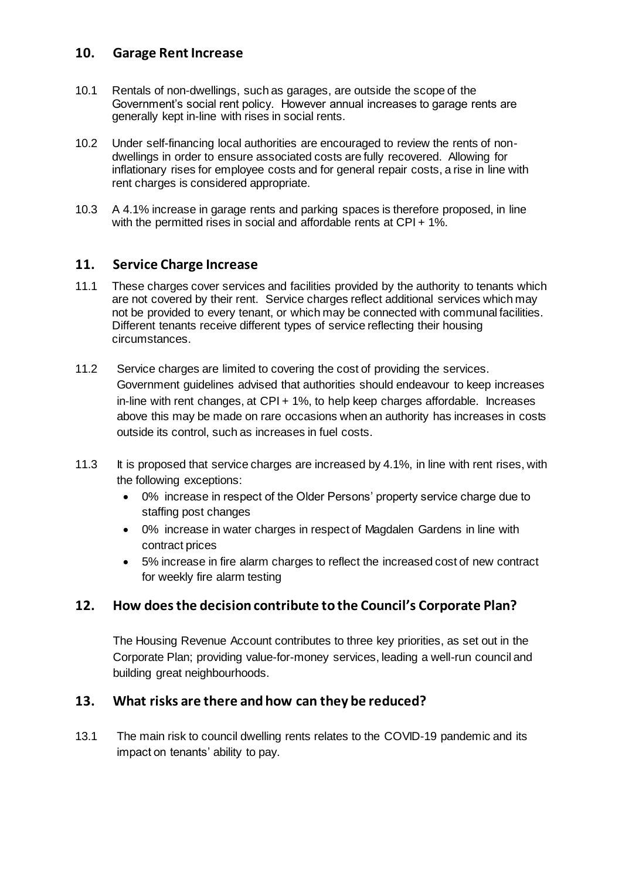## **10. Garage Rent Increase**

- 10.1 Rentals of non-dwellings, such as garages, are outside the scope of the Government's social rent policy. However annual increases to garage rents are generally kept in-line with rises in social rents.
- 10.2 Under self-financing local authorities are encouraged to review the rents of nondwellings in order to ensure associated costs are fully recovered. Allowing for inflationary rises for employee costs and for general repair costs, a rise in line with rent charges is considered appropriate.
- 10.3 A 4.1% increase in garage rents and parking spaces is therefore proposed, in line with the permitted rises in social and affordable rents at CPI + 1%.

### **11. Service Charge Increase**

- 11.1 These charges cover services and facilities provided by the authority to tenants which are not covered by their rent. Service charges reflect additional services which may not be provided to every tenant, or which may be connected with communal facilities. Different tenants receive different types of service reflecting their housing circumstances.
- 11.2 Service charges are limited to covering the cost of providing the services. Government guidelines advised that authorities should endeavour to keep increases in-line with rent changes, at CPI + 1%, to help keep charges affordable. Increases above this may be made on rare occasions when an authority has increases in costs outside its control, such as increases in fuel costs.
- 11.3 It is proposed that service charges are increased by 4.1%, in line with rent rises, with the following exceptions:
	- 0% increase in respect of the Older Persons' property service charge due to staffing post changes
	- 0% increase in water charges in respect of Magdalen Gardens in line with contract prices
	- 5% increase in fire alarm charges to reflect the increased cost of new contract for weekly fire alarm testing

## **12. How does the decision contribute to the Council's Corporate Plan?**

The Housing Revenue Account contributes to three key priorities, as set out in the Corporate Plan; providing value-for-money services, leading a well-run council and building great neighbourhoods.

## **13. What risks are there and how can they be reduced?**

13.1 The main risk to council dwelling rents relates to the COVID-19 pandemic and its impact on tenants' ability to pay.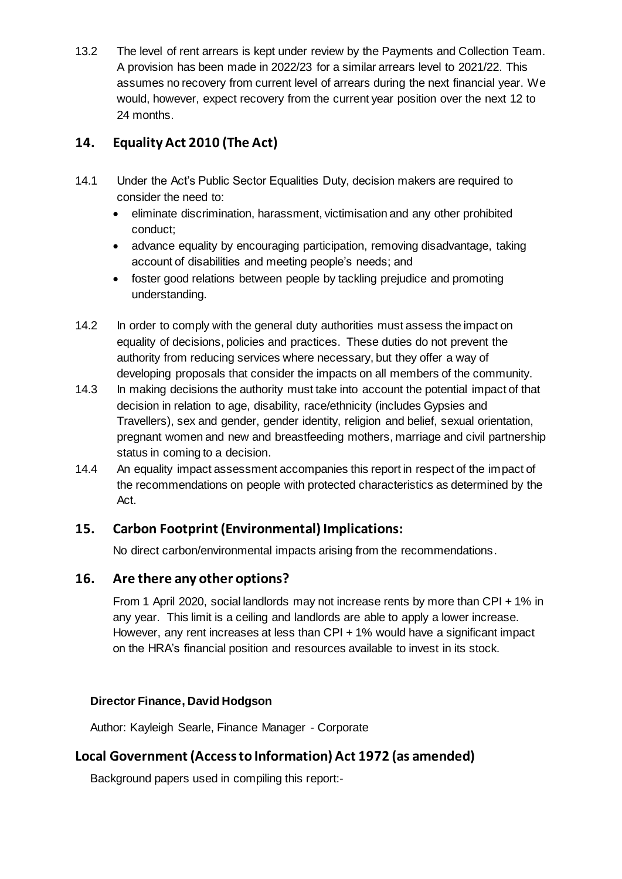13.2 The level of rent arrears is kept under review by the Payments and Collection Team. A provision has been made in 2022/23 for a similar arrears level to 2021/22. This assumes no recovery from current level of arrears during the next financial year. We would, however, expect recovery from the current year position over the next 12 to 24 months.

# **14. Equality Act 2010 (The Act)**

- 14.1 Under the Act's Public Sector Equalities Duty, decision makers are required to consider the need to:
	- eliminate discrimination, harassment, victimisation and any other prohibited conduct;
	- advance equality by encouraging participation, removing disadvantage, taking account of disabilities and meeting people's needs; and
	- foster good relations between people by tackling prejudice and promoting understanding.
- 14.2 In order to comply with the general duty authorities must assess the impact on equality of decisions, policies and practices. These duties do not prevent the authority from reducing services where necessary, but they offer a way of developing proposals that consider the impacts on all members of the community.
- 14.3 In making decisions the authority must take into account the potential impact of that decision in relation to age, disability, race/ethnicity (includes Gypsies and Travellers), sex and gender, gender identity, religion and belief, sexual orientation, pregnant women and new and breastfeeding mothers, marriage and civil partnership status in coming to a decision.
- 14.4 An equality impact assessment accompanies this report in respect of the impact of the recommendations on people with protected characteristics as determined by the Act.

## **15. Carbon Footprint (Environmental) Implications:**

No direct carbon/environmental impacts arising from the recommendations.

## **16. Are there any other options?**

From 1 April 2020, social landlords may not increase rents by more than CPI + 1% in any year. This limit is a ceiling and landlords are able to apply a lower increase. However, any rent increases at less than CPI + 1% would have a significant impact on the HRA's financial position and resources available to invest in its stock.

## **Director Finance, David Hodgson**

Author: Kayleigh Searle, Finance Manager - Corporate

# **Local Government (Access to Information) Act 1972 (as amended)**

Background papers used in compiling this report:-